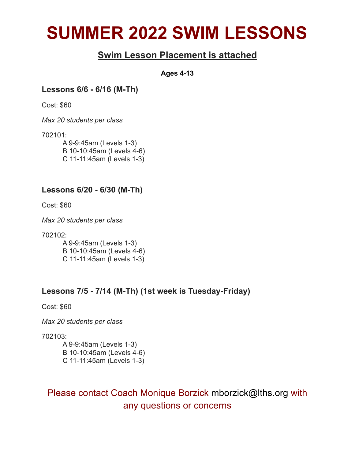# **SUMMER 2022 SWIM LESSONS**

#### **Swim Lesson Placement is attached**

**Ages 4-13**

**Lessons 6/6 - 6/16 (M-Th)**

Cost: \$60

*Max 20 students per class*

702101:

A 9-9:45am (Levels 1-3) B 10-10:45am (Levels 4-6) C 11-11:45am (Levels 1-3)

#### **Lessons 6/20 - 6/30 (M-Th)**

Cost: \$60

*Max 20 students per class*

702102:

A 9-9:45am (Levels 1-3) B 10-10:45am (Levels 4-6) C 11-11:45am (Levels 1-3)

#### **Lessons 7/5 - 7/14 (M-Th) (1st week is Tuesday-Friday)**

Cost: \$60

*Max 20 students per class*

702103:

A 9-9:45am (Levels 1-3) B 10-10:45am (Levels 4-6) C 11-11:45am (Levels 1-3)

#### Please contact Coach Monique Borzick mborzick@lths.org with any questions or concerns